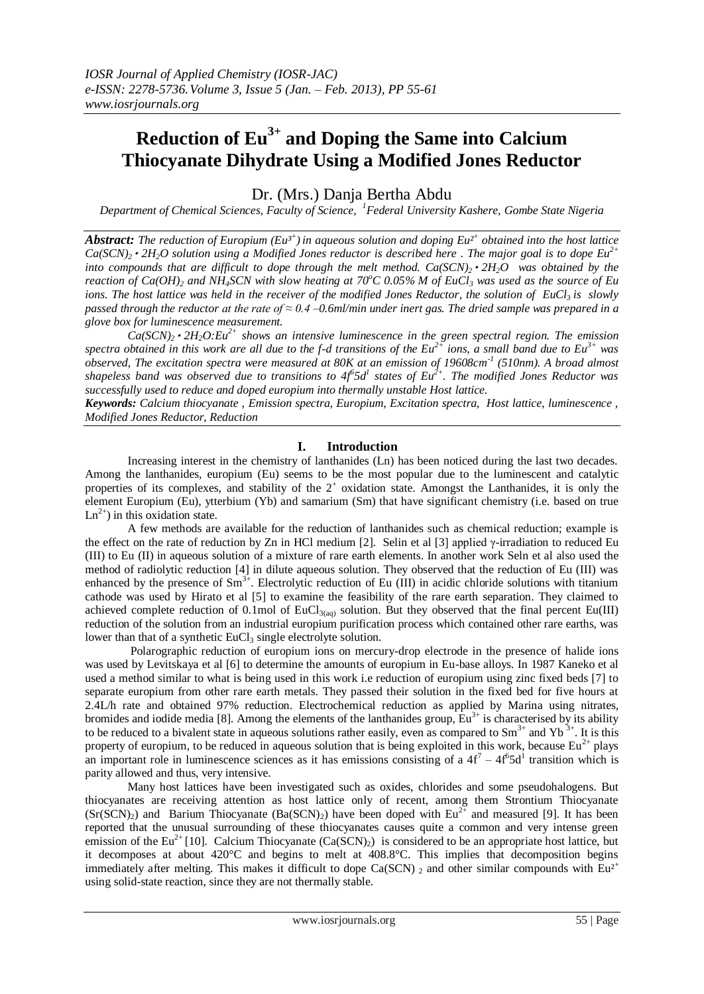# **Reduction of Eu3+ and Doping the Same into Calcium Thiocyanate Dihydrate Using a Modified Jones Reductor**

Dr. (Mrs.) Danja Bertha Abdu

*Department of Chemical Sciences, Faculty of Science, <sup>1</sup>Federal University Kashere, Gombe State Nigeria*

*Abstract: The reduction of Europium (Eu³<sup>+</sup> ) in aqueous solution and doping Eu²<sup>+</sup> obtained into the host lattice*  $Ca(SCN)$ <sup>2</sup> *2H*<sub>2</sub>*O solution using a Modified Jones reductor is described here a*. The major goal is to dope  $Eu^{2+}$ *into compounds that are difficult to dope through the melt method.*  $Ca(SCN)$ *<sup>2</sup> <i>2H*<sub>2</sub>*O* was obtained by the *reaction of Ca(OH)*<sup>2</sup> *and NH<sub>4</sub>SCN with slow heating at 70<sup>o</sup>C 0.05% M of EuCl<sub>3</sub> was used as the source of Eu ions. The host lattice was held in the receiver of the modified Jones Reductor, the solution of EuCl3 is slowly passed through the reductor at the rate of ≈ 0.4 –0.6ml/min under inert gas. The dried sample was prepared in a glove box for luminescence measurement.*

 $Ca(SCN)_2 \cdot 2H_2O: Eu^{2+}$  *shows an intensive luminescence in the green spectral region. The emission spectra obtained in this work are all due to the f-d transitions of the Eu2+ ions, a small band due to Eu3+ was observed, The excitation spectra were measured at 80K at an emission of 19608cm-1 (510nm). A broad almost shapeless band was observed due to transitions to 4f<sup>6</sup> 5d<sup>1</sup> states of Eu2+ . The modified Jones Reductor was successfully used to reduce and doped europium into thermally unstable Host lattice.*

*Keywords: Calcium thiocyanate , Emission spectra, Europium, Excitation spectra, Host lattice, luminescence , Modified Jones Reductor, Reduction*

# **I. Introduction**

Increasing interest in the chemistry of lanthanides (Ln) has been noticed during the last two decades. Among the lanthanides, europium (Eu) seems to be the most popular due to the luminescent and catalytic properties of its complexes, and stability of the  $2^+$  oxidation state. Amongst the Lanthanides, it is only the element Europium (Eu), ytterbium (Yb) and samarium (Sm) that have significant chemistry (i.e. based on true  $Ln<sup>2+</sup>$ ) in this oxidation state.

A few methods are available for the reduction of lanthanides such as chemical reduction; example is the effect on the rate of reduction by Zn in HCl medium [2]. Selin et al [3] applied  $\gamma$ -irradiation to reduced Eu (III) to Eu (II) in aqueous solution of a mixture of rare earth elements. In another work Seln et al also used the method of radiolytic reduction [4] in dilute aqueous solution. They observed that the reduction of Eu (III) was enhanced by the presence of  $\text{Sm}^{3+}$ . Electrolytic reduction of Eu (III) in acidic chloride solutions with titanium cathode was used by Hirato et al [5] to examine the feasibility of the rare earth separation. They claimed to achieved complete reduction of 0.1mol of  $EuCl_{3(aq)}$  solution. But they observed that the final percent Eu(III) reduction of the solution from an industrial europium purification process which contained other rare earths, was lower than that of a synthetic EuCl<sub>3</sub> single electrolyte solution.

Polarographic reduction of europium ions on mercury-drop electrode in the presence of halide ions was used by Levitskaya et al [6] to determine the amounts of europium in Eu-base alloys. In 1987 Kaneko et al used a method similar to what is being used in this work i.e reduction of europium using zinc fixed beds [7] to separate europium from other rare earth metals. They passed their solution in the fixed bed for five hours at 2.4L/h rate and obtained 97% reduction. Electrochemical reduction as applied by Marina using nitrates, bromides and iodide media [8]. Among the elements of the lanthanides group,  $Eu^{3+}$  is characterised by its ability to be reduced to a bivalent state in aqueous solutions rather easily, even as compared to  $Sm^{3+}$  and  $Yb^{3+}$ . It is this property of europium, to be reduced in aqueous solution that is being exploited in this work, because  $Eu^{2+}$  plays an important role in luminescence sciences as it has emissions consisting of a  $4f^7 - 4f^6 5d^1$  transition which is parity allowed and thus, very intensive.

Many host lattices have been investigated such as oxides, chlorides and some pseudohalogens. But thiocyanates are receiving attention as host lattice only of recent, among them Strontium Thiocyanate  $(Sr(SCN)_2)$  and Barium Thiocyanate  $(Ba(SCN)_2)$  have been doped with Eu<sup>2+</sup> and measured [9]. It has been reported that the unusual surrounding of these thiocyanates causes quite a common and very intense green emission of the Eu<sup>2+</sup> [10]. Calcium Thiocyanate (Ca(SCN)<sub>2</sub>) is considered to be an appropriate host lattice, but it decomposes at about 420°C and begins to melt at 408.8°C. This implies that decomposition begins immediately after melting. This makes it difficult to dope Ca(SCN)  $_2$  and other similar compounds with Eu<sup>2+</sup> using solid-state reaction, since they are not thermally stable.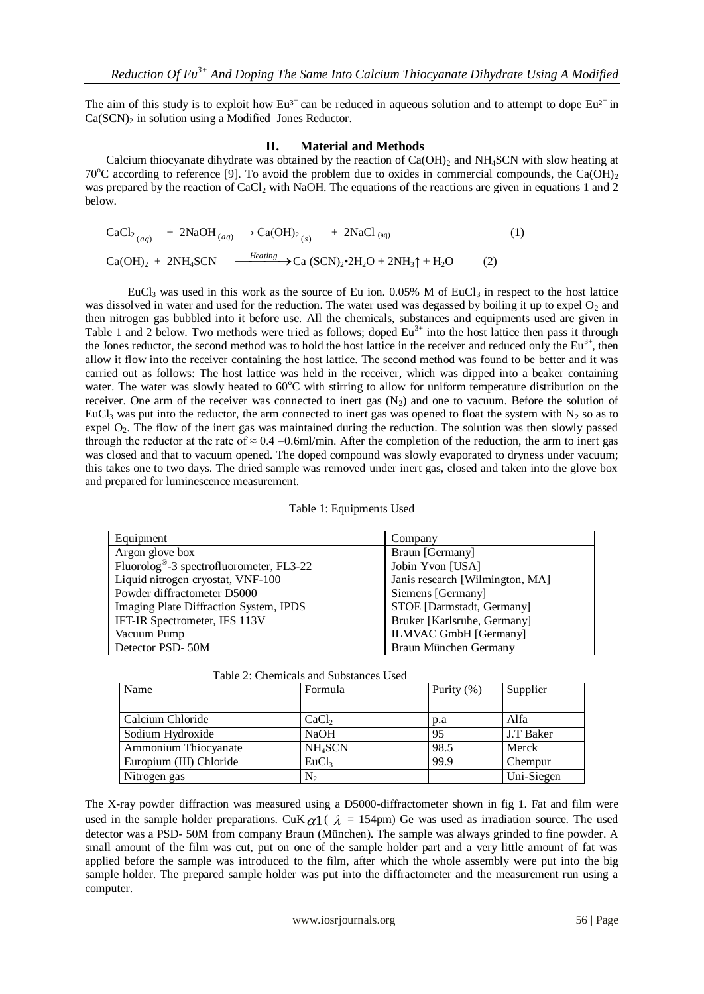The aim of this study is to exploit how Eu<sup>3+</sup> can be reduced in aqueous solution and to attempt to dope Eu<sup>2+</sup> in  $Ca(SCN)_2$  in solution using a Modified Jones Reductor.

### **II. Material and Methods**

Calcium thiocyanate dihydrate was obtained by the reaction of  $Ca(OH)_2$  and NH<sub>4</sub>SCN with slow heating at 70<sup>o</sup>C according to reference [9]. To avoid the problem due to oxides in commercial compounds, the Ca(OH)<sub>2</sub> was prepared by the reaction of CaCl<sub>2</sub> with NaOH. The equations of the reactions are given in equations 1 and 2 below.

$$
CaCl_{2\ (aq)} + 2NaOH_{(aq)} \rightarrow Ca(OH)_{2\ (s)} + 2NaCl_{(aq)}
$$
\n
$$
Ca(OH)_{2} + 2NH_{4}SCN \xrightarrow{\text{Heating}} Ca (SCN)_{2} \cdot 2H_{2}O + 2NH_{3} \uparrow + H_{2}O
$$
\n
$$
(1)
$$

EuCl<sub>3</sub> was used in this work as the source of Eu ion. 0.05% M of EuCl<sub>3</sub> in respect to the host lattice was dissolved in water and used for the reduction. The water used was degassed by boiling it up to expel  $O_2$  and then nitrogen gas bubbled into it before use. All the chemicals, substances and equipments used are given in Table 1 and 2 below. Two methods were tried as follows; doped Eu<sup>3+</sup> into the host lattice then pass it through the Jones reductor, the second method was to hold the host lattice in the receiver and reduced only the Eu<sup>3+</sup>, then allow it flow into the receiver containing the host lattice. The second method was found to be better and it was carried out as follows: The host lattice was held in the receiver, which was dipped into a beaker containing water. The water was slowly heated to  $60^{\circ}$ C with stirring to allow for uniform temperature distribution on the receiver. One arm of the receiver was connected to inert gas  $(N_2)$  and one to vacuum. Before the solution of EuCl<sub>3</sub> was put into the reductor, the arm connected to inert gas was opened to float the system with N<sub>2</sub> so as to expel O<sub>2</sub>. The flow of the inert gas was maintained during the reduction. The solution was then slowly passed through the reductor at the rate of  $\approx 0.4$  –0.6ml/min. After the completion of the reduction, the arm to inert gas was closed and that to vacuum opened. The doped compound was slowly evaporated to dryness under vacuum; this takes one to two days. The dried sample was removed under inert gas, closed and taken into the glove box and prepared for luminescence measurement.

|  | Table 1: Equipments Used |  |
|--|--------------------------|--|
|--|--------------------------|--|

| Equipment                                            | Company                         |
|------------------------------------------------------|---------------------------------|
| Argon glove box                                      | Braun [Germany]                 |
| Fluorolog <sup>®</sup> -3 spectrofluorometer, FL3-22 | Jobin Yvon [USA]                |
| Liquid nitrogen cryostat, VNF-100                    | Janis research [Wilmington, MA] |
| Powder diffractometer D5000                          | Siemens [Germany]               |
| Imaging Plate Diffraction System, IPDS               | STOE [Darmstadt, Germany]       |
| IFT-IR Spectrometer, IFS 113V                        | Bruker [Karlsruhe, Germany]     |
| Vacuum Pump                                          | <b>ILMVAC GmbH</b> [Germany]    |
| Detector PSD-50M                                     | Braun München Germany           |

| Table 2: Chemicals and Substances Used |
|----------------------------------------|
|----------------------------------------|

| Name                    | Formula             | Purity $(\%)$ | Supplier   |
|-------------------------|---------------------|---------------|------------|
|                         |                     |               |            |
| Calcium Chloride        | CaCl <sub>2</sub>   | p.a           | Alfa       |
| Sodium Hydroxide        | <b>NaOH</b>         | 95            | J.T Baker  |
| Ammonium Thiocyanate    | NH <sub>4</sub> SCN | 98.5          | Merck      |
| Europium (III) Chloride | EuCl <sub>3</sub>   | 99.9          | Chempur    |
| Nitrogen gas            | N,                  |               | Uni-Siegen |

The X-ray powder diffraction was measured using a D5000-diffractometer shown in fig 1. Fat and film were used in the sample holder preparations. CuK  $\alpha$ 1 ( $\lambda$  = 154pm) Ge was used as irradiation source. The used detector was a PSD- 50M from company Braun (München). The sample was always grinded to fine powder. A small amount of the film was cut, put on one of the sample holder part and a very little amount of fat was applied before the sample was introduced to the film, after which the whole assembly were put into the big sample holder. The prepared sample holder was put into the diffractometer and the measurement run using a computer.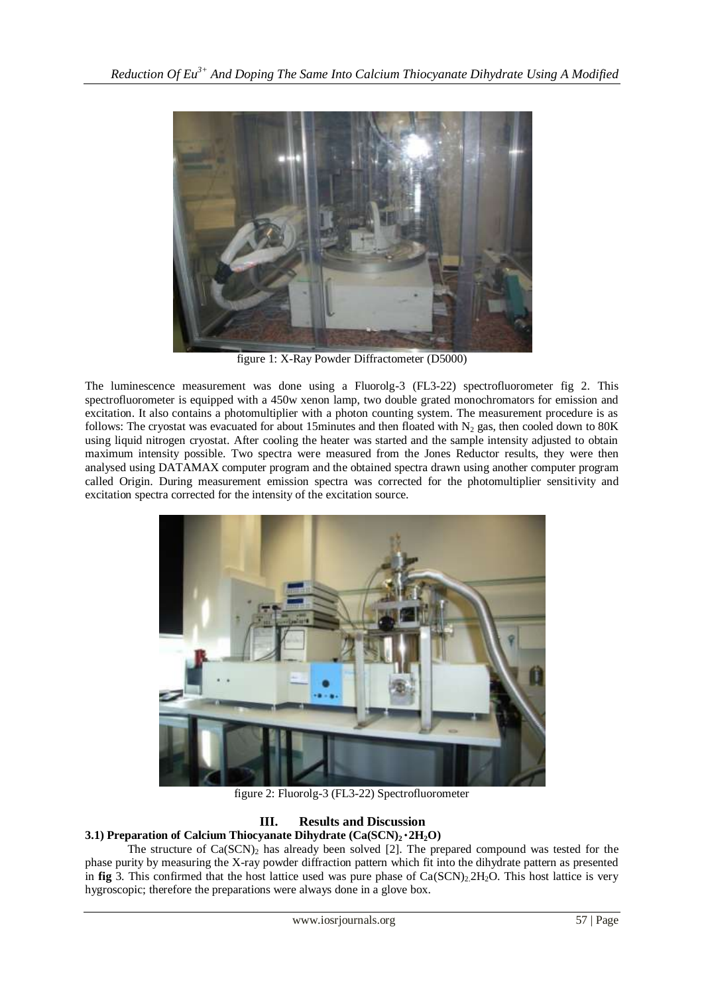

figure 1: X-Ray Powder Diffractometer (D5000)

The luminescence measurement was done using a Fluorolg-3 (FL3-22) spectrofluorometer fig 2. This spectrofluorometer is equipped with a 450w xenon lamp, two double grated monochromators for emission and excitation. It also contains a photomultiplier with a photon counting system. The measurement procedure is as follows: The cryostat was evacuated for about 15minutes and then floated with  $N_2$  gas, then cooled down to 80K using liquid nitrogen cryostat. After cooling the heater was started and the sample intensity adjusted to obtain maximum intensity possible. Two spectra were measured from the Jones Reductor results, they were then analysed using DATAMAX computer program and the obtained spectra drawn using another computer program called Origin. During measurement emission spectra was corrected for the photomultiplier sensitivity and excitation spectra corrected for the intensity of the excitation source.



figure 2: Fluorolg-3 (FL3-22) Spectrofluorometer

# **III. Results and Discussion**

# **3.1) Preparation of Calcium Thiocyanate Dihydrate (Ca(SCN)2**۰**2H2O)**

The structure of  $Ca(SCN)_2$  has already been solved [2]. The prepared compound was tested for the phase purity by measuring the X-ray powder diffraction pattern which fit into the dihydrate pattern as presented in **fig** 3. This confirmed that the host lattice used was pure phase of Ca(SCN)<sub>2.</sub>2H<sub>2</sub>O. This host lattice is very hygroscopic; therefore the preparations were always done in a glove box.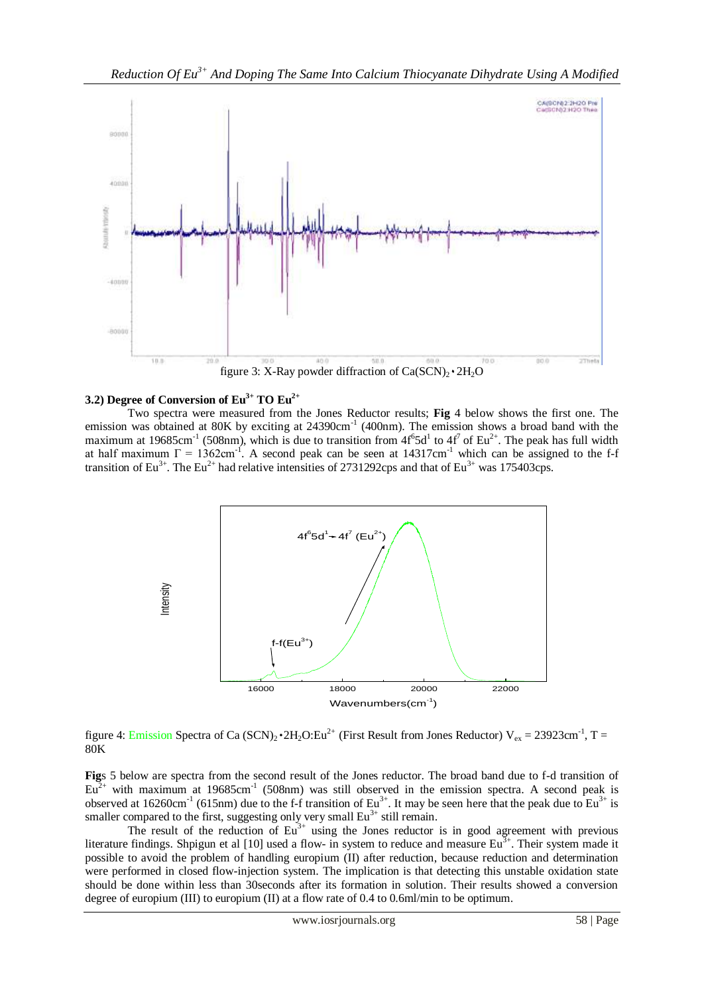

# **3.2) Degree of Conversion of Eu3+ TO Eu2+**

Two spectra were measured from the Jones Reductor results; **Fig** 4 below shows the first one. The emission was obtained at 80K by exciting at  $24390 \text{cm}^{-1}$  (400nm). The emission shows a broad band with the maximum at 19685cm<sup>-1</sup> (508nm), which is due to transition from  $4f^65d^1$  to  $4f^7$  of Eu<sup>2+</sup>. The peak has full width at half maximum  $\Gamma = 1362 \text{cm}^{-1}$ . A second peak can be seen at 14317cm<sup>-1</sup> which can be assigned to the f-f transition of Eu<sup>3+</sup>. The Eu<sup>2+</sup> had relative intensities of 2731292cps and that of Eu<sup>3+</sup> was 175403cps.



figure 4: Emission Spectra of Ca (SCN)<sub>2</sub> •  $2H_2O$ : Eu<sup>2+</sup> (First Result from Jones Reductor) V<sub>ex</sub> = 23923cm<sup>-1</sup>, T = 80K

**Fig**s 5 below are spectra from the second result of the Jones reductor. The broad band due to f-d transition of  $Eu<sup>2+</sup>$  with maximum at 19685cm<sup>-1</sup> (508nm) was still observed in the emission spectra. A second peak is observed at 16260cm<sup>-1</sup> (615nm) due to the f-f transition of Eu<sup>3+</sup>. It may be seen here that the peak due to Eu<sup>3+</sup> is smaller compared to the first, suggesting only very small  $Eu<sup>3+</sup>$  still remain.

The result of the reduction of  $Eu^{3+}$  using the Jones reductor is in good agreement with previous literature findings. Shpigun et al [10] used a flow- in system to reduce and measure Eu<sup>3+</sup>. Their system made it possible to avoid the problem of handling europium (II) after reduction, because reduction and determination were performed in closed flow-injection system. The implication is that detecting this unstable oxidation state should be done within less than 30seconds after its formation in solution. Their results showed a conversion degree of europium (III) to europium (II) at a flow rate of 0.4 to 0.6ml/min to be optimum.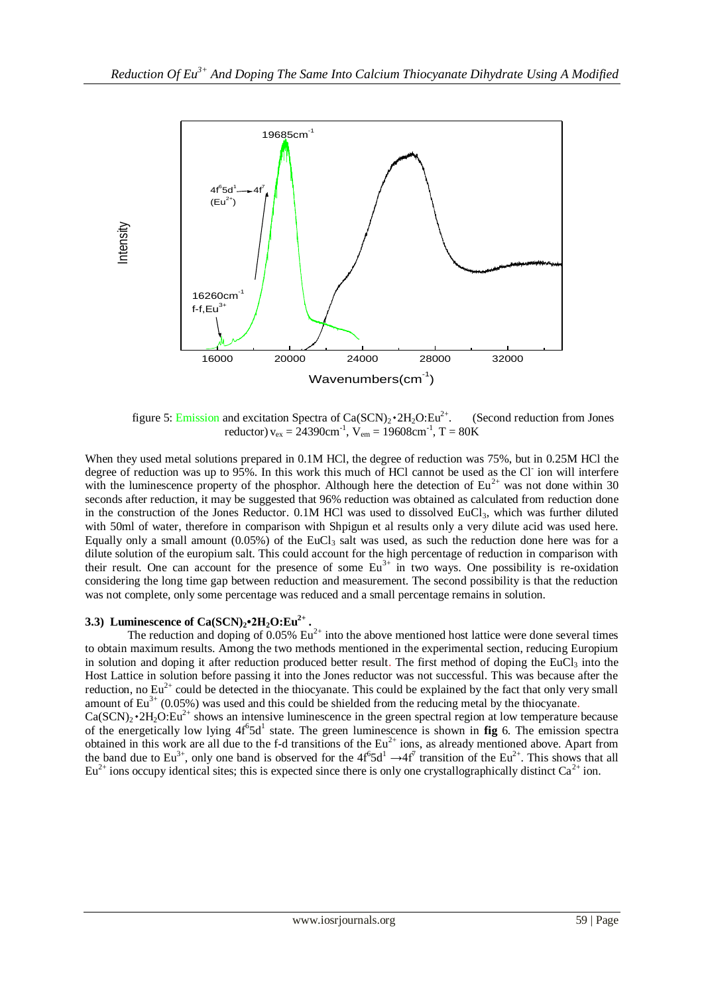

figure 5: Emission and excitation Spectra of  $Ca(SCN)_2 \cdot 2H_2O:Eu^{2+}$ . . (Second reduction from Jones reductor)  $v_{ex} = 24390 \text{cm}^{-1}$ ,  $V_{em} = 19608 \text{cm}^{-1}$ ,  $T = 80 \text{K}$ 

When they used metal solutions prepared in 0.1M HCl, the degree of reduction was 75%, but in 0.25M HCl the degree of reduction was up to 95%. In this work this much of HCl cannot be used as the Cl ion will interfere with the luminescence property of the phosphor. Although here the detection of  $Eu^{2+}$  was not done within 30 seconds after reduction, it may be suggested that 96% reduction was obtained as calculated from reduction done in the construction of the Jones Reductor.  $0.1M$  HCl was used to dissolved EuCl<sub>3</sub>, which was further diluted with 50ml of water, therefore in comparison with Shpigun et al results only a very dilute acid was used here. Equally only a small amount  $(0.05\%)$  of the EuCl<sub>3</sub> salt was used, as such the reduction done here was for a dilute solution of the europium salt. This could account for the high percentage of reduction in comparison with their result. One can account for the presence of some  $Eu^{3+}$  in two ways. One possibility is re-oxidation considering the long time gap between reduction and measurement. The second possibility is that the reduction was not complete, only some percentage was reduced and a small percentage remains in solution.

## **3.3**) **Luminescence of**  $Ca(SCN)_2 \cdot 2H_2O:Eu^{2+}$ **.**

The reduction and doping of  $0.05\%$  Eu<sup>2+</sup> into the above mentioned host lattice were done several times to obtain maximum results. Among the two methods mentioned in the experimental section, reducing Europium in solution and doping it after reduction produced better result. The first method of doping the EuCl<sub>3</sub> into the Host Lattice in solution before passing it into the Jones reductor was not successful. This was because after the reduction, no  $Eu^{2+}$  could be detected in the thiocyanate. This could be explained by the fact that only very small amount of  $Eu^{3+}$  (0.05%) was used and this could be shielded from the reducing metal by the thiocyanate.  $Ca(SCN)_2 \cdot 2H_2O:Eu^{2+}$  shows an intensive luminescence in the green spectral region at low temperature because of the energetically low lying  $4f^65d^1$  state. The green luminescence is shown in **fig** 6. The emission spectra

obtained in this work are all due to the f-d transitions of the  $Eu^{2+}$  ions, as already mentioned above. Apart from the band due to Eu<sup>3+</sup>, only one band is observed for the  $4f^65d^1 \rightarrow 4f^7$  transition of the Eu<sup>2+</sup>. This shows that all  $Eu^{2+}$  ions occupy identical sites; this is expected since there is only one crystallographically distinct  $Ca^{2+}$  ion.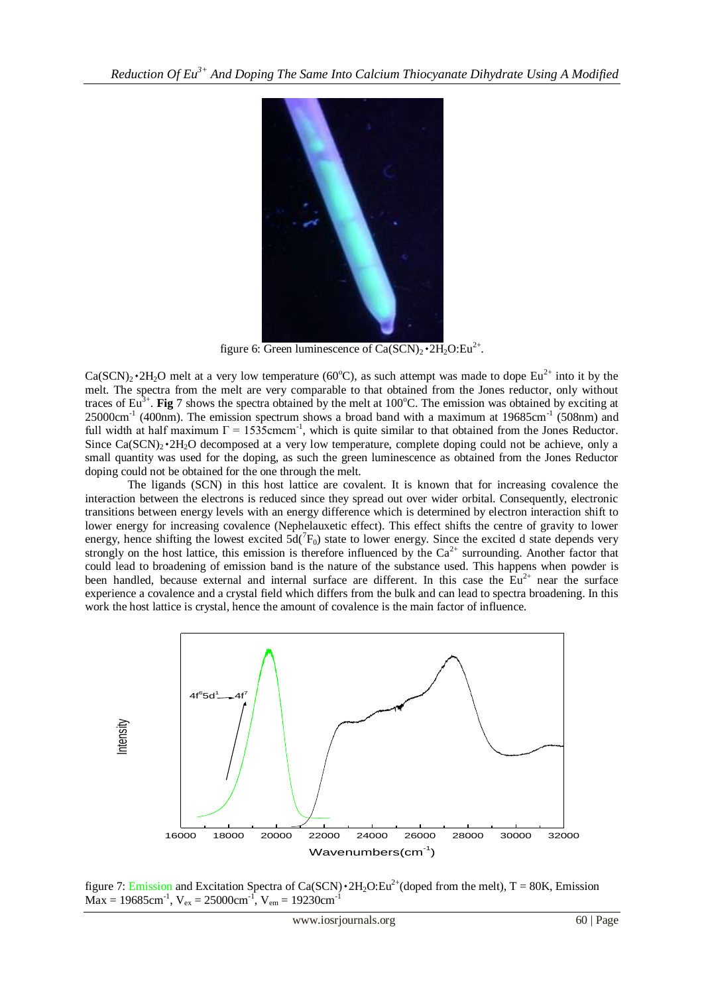

figure 6: Green luminescence of  $Ca(SCN)_2 \cdot 2H_2O:Eu^{2+}$ .

 $Ca(SCN)_2\cdot 2H_2O$  melt at a very low temperature (60°C), as such attempt was made to dope  $Eu^{2+}$  into it by the melt. The spectra from the melt are very comparable to that obtained from the Jones reductor, only without traces of  $Eu^{3+}$ . **Fig** 7 shows the spectra obtained by the melt at 100°C. The emission was obtained by exciting at  $25000 \text{cm}^{-1}$  (400nm). The emission spectrum shows a broad band with a maximum at 19685cm<sup>-1</sup> (508nm) and full width at half maximum  $\Gamma = 1535$ cmcm<sup>-1</sup>, which is quite similar to that obtained from the Jones Reductor. Since  $Ca(SCN)_2 \cdot 2H_2O$  decomposed at a very low temperature, complete doping could not be achieve, only a small quantity was used for the doping, as such the green luminescence as obtained from the Jones Reductor doping could not be obtained for the one through the melt.

The ligands (SCN) in this host lattice are covalent. It is known that for increasing covalence the interaction between the electrons is reduced since they spread out over wider orbital. Consequently, electronic transitions between energy levels with an energy difference which is determined by electron interaction shift to lower energy for increasing covalence (Nephelauxetic effect). This effect shifts the centre of gravity to lower energy, hence shifting the lowest excited  $5d(^7F_0)$  state to lower energy. Since the excited d state depends very strongly on the host lattice, this emission is therefore influenced by the  $Ca^{2+}$  surrounding. Another factor that could lead to broadening of emission band is the nature of the substance used. This happens when powder is been handled, because external and internal surface are different. In this case the  $\overline{Eu}^{2+}$  near the surface experience a covalence and a crystal field which differs from the bulk and can lead to spectra broadening. In this work the host lattice is crystal, hence the amount of covalence is the main factor of influence.



figure 7: Emission and Excitation Spectra of Ca(SCN) $\cdot$ 2H<sub>2</sub>O:Eu<sup>2+</sup>(doped from the melt), T = 80K, Emission  $\text{Max} = 19685 \text{cm}^{-1}$ ,  $\text{V}_{\text{ex}} = 25000 \text{cm}^{-1}$ ,  $\text{V}_{\text{em}} = 19230 \text{cm}^{-1}$